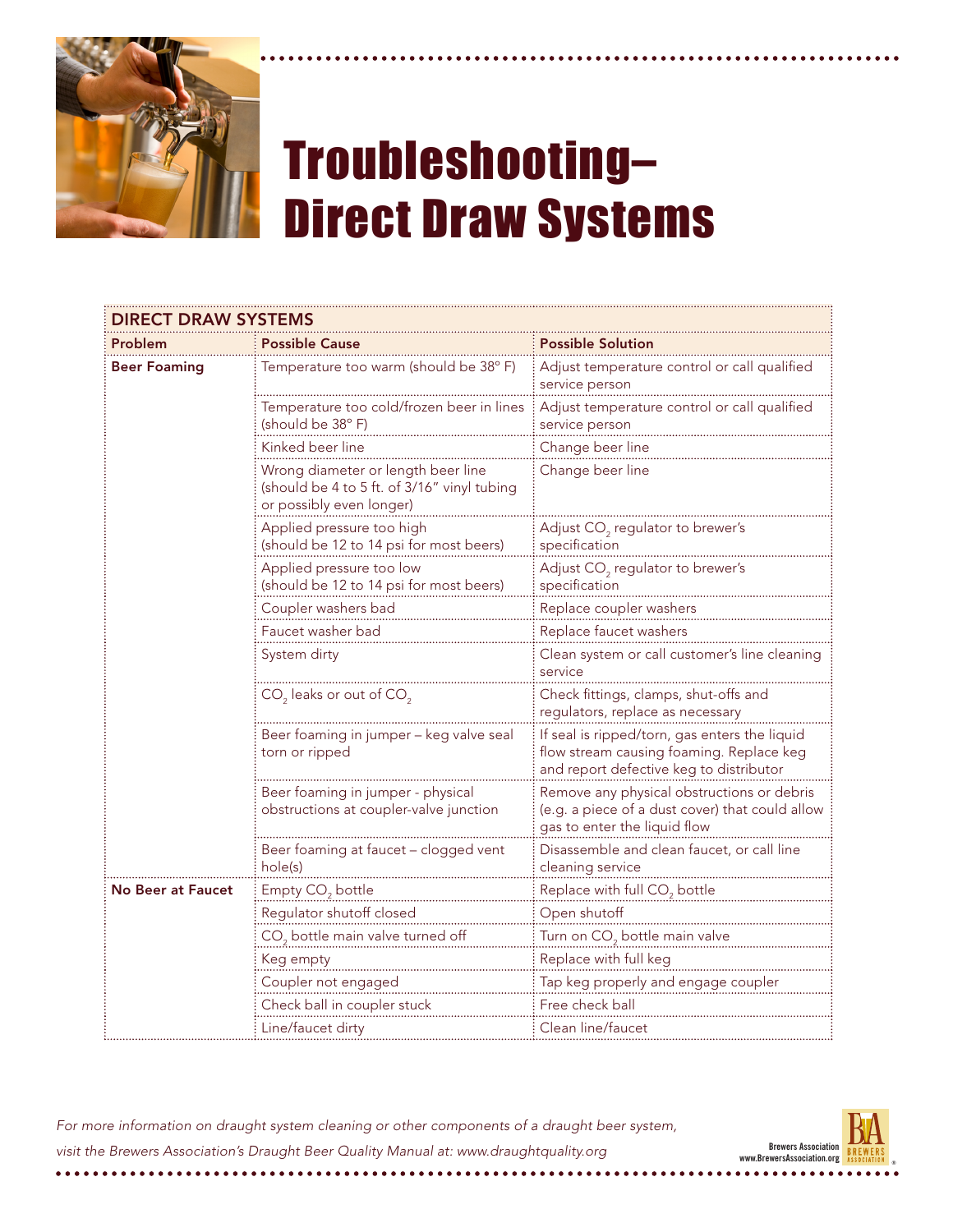

## Troubleshooting– Direct Draw Systems

| <b>DIRECT DRAW SYSTEMS</b> |                                                                                                               |                                                                                                                                      |  |  |
|----------------------------|---------------------------------------------------------------------------------------------------------------|--------------------------------------------------------------------------------------------------------------------------------------|--|--|
| Problem                    | <b>Possible Cause</b>                                                                                         | Possible Solution                                                                                                                    |  |  |
| <b>Beer Foaming</b>        | Temperature too warm (should be 38°F)                                                                         | Adjust temperature control or call qualified<br>service person                                                                       |  |  |
|                            | Temperature too cold/frozen beer in lines<br>(should be 38°F)                                                 | Adjust temperature control or call qualified<br>service person                                                                       |  |  |
|                            | Kinked beer line                                                                                              | Change beer line                                                                                                                     |  |  |
|                            | Wrong diameter or length beer line<br>(should be 4 to 5 ft. of 3/16" vinyl tubing<br>or possibly even longer) | Change beer line                                                                                                                     |  |  |
|                            | Applied pressure too high<br>(should be 12 to 14 psi for most beers)                                          | Adjust CO <sub>2</sub> regulator to brewer's<br>specification                                                                        |  |  |
|                            | Applied pressure too low<br>(should be 12 to 14 psi for most beers)                                           | Adjust CO <sub>2</sub> regulator to brewer's<br>specification                                                                        |  |  |
|                            | Coupler washers bad                                                                                           | Replace coupler washers                                                                                                              |  |  |
|                            | Faucet washer bad                                                                                             | Replace faucet washers                                                                                                               |  |  |
|                            | System dirty                                                                                                  | Clean system or call customer's line cleaning<br>service                                                                             |  |  |
|                            | $CO2$ leaks or out of $CO2$                                                                                   | Check fittings, clamps, shut-offs and<br>regulators, replace as necessary                                                            |  |  |
|                            | Beer foaming in jumper - keg valve seal<br>torn or ripped                                                     | If seal is ripped/torn, gas enters the liquid<br>flow stream causing foaming. Replace keg<br>and report defective keg to distributor |  |  |
|                            | Beer foaming in jumper - physical<br>obstructions at coupler-valve junction                                   | Remove any physical obstructions or debris<br>(e.g. a piece of a dust cover) that could allow<br>gas to enter the liquid flow        |  |  |
|                            | Beer foaming at faucet - clogged vent<br>hole(s)                                                              | Disassemble and clean faucet, or call line<br>cleaning service                                                                       |  |  |
| <b>No Beer at Faucet</b>   | Empty $CO2$ bottle                                                                                            | Replace with full $CO2$ bottle                                                                                                       |  |  |
|                            | Regulator shutoff closed                                                                                      | Open shutoff                                                                                                                         |  |  |
|                            | CO <sub>2</sub> bottle main valve turned off                                                                  | Turn on CO <sub>2</sub> bottle main valve                                                                                            |  |  |
|                            | Keg empty                                                                                                     | Replace with full keg                                                                                                                |  |  |
|                            | Coupler not engaged                                                                                           | Tap keg properly and engage coupler                                                                                                  |  |  |
|                            | Check ball in coupler stuck                                                                                   | Free check ball                                                                                                                      |  |  |
|                            | Line/faucet dirty                                                                                             | Clean line/faucet                                                                                                                    |  |  |

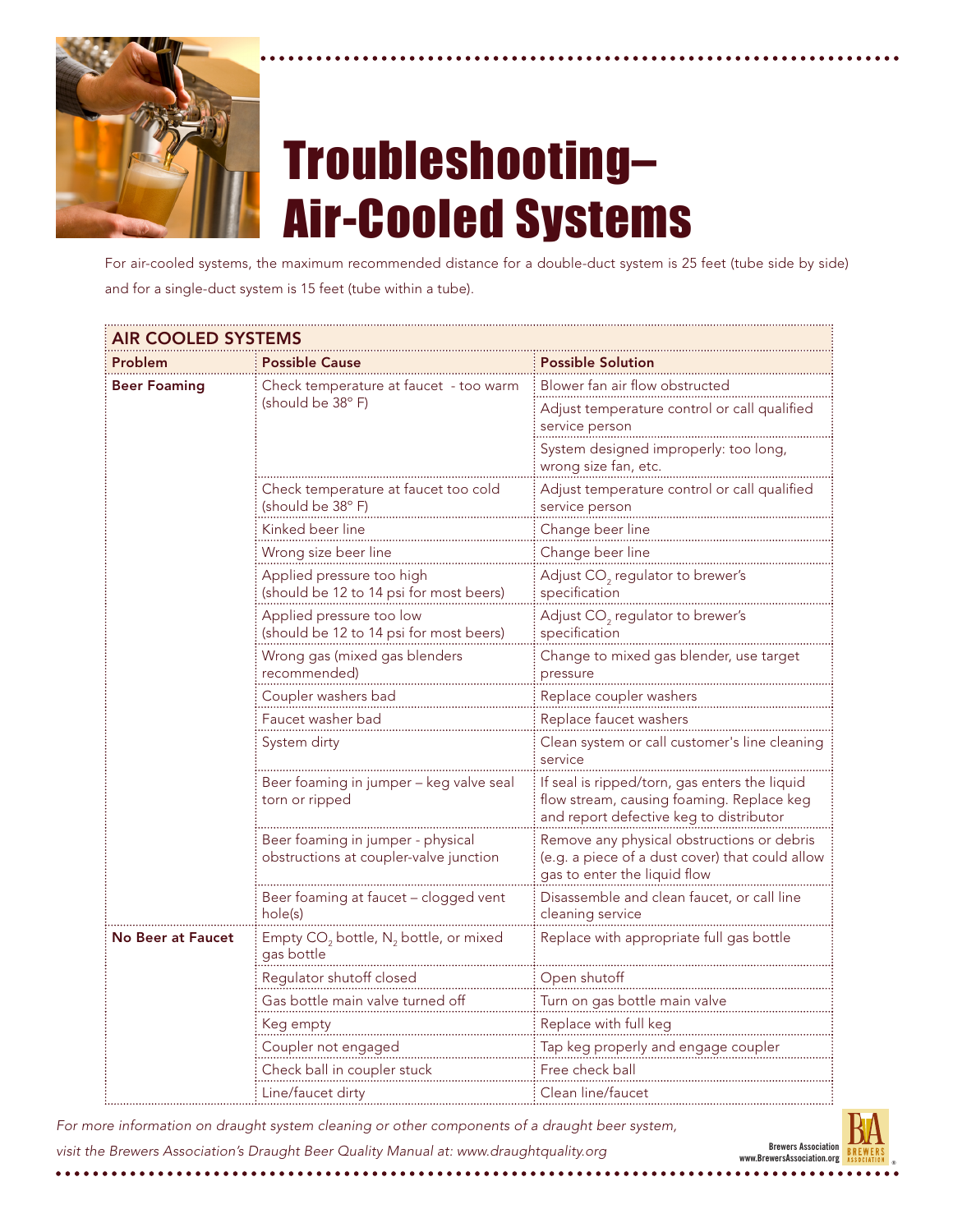

## Troubleshooting– Air-Cooled Systems

For air-cooled systems, the maximum recommended distance for a double-duct system is 25 feet (tube side by side) and for a single-duct system is 15 feet (tube within a tube).

| <b>AIR COOLED SYSTEMS</b> |                                                                             |                                                                                                                                       |  |
|---------------------------|-----------------------------------------------------------------------------|---------------------------------------------------------------------------------------------------------------------------------------|--|
| Problem                   | <b>Possible Cause</b>                                                       | <b>Possible Solution</b>                                                                                                              |  |
| <b>Beer Foaming</b>       | Check temperature at faucet - too warm<br>(should be 38°F)                  | Blower fan air flow obstructed                                                                                                        |  |
|                           |                                                                             | Adjust temperature control or call qualified<br>service person                                                                        |  |
|                           |                                                                             | System designed improperly: too long,<br>wrong size fan, etc.                                                                         |  |
|                           | Check temperature at faucet too cold<br>(should be 38°F)                    | Adjust temperature control or call qualified<br>service person                                                                        |  |
|                           | Kinked beer line                                                            | Change beer line                                                                                                                      |  |
|                           | Wrong size beer line                                                        | Change beer line                                                                                                                      |  |
|                           | Applied pressure too high<br>(should be 12 to 14 psi for most beers)        | Adjust $CO2$ regulator to brewer's<br>specification                                                                                   |  |
|                           | Applied pressure too low<br>(should be 12 to 14 psi for most beers)         | Adjust $CO2$ regulator to brewer's<br>specification                                                                                   |  |
|                           | Wrong gas (mixed gas blenders<br>recommended)                               | Change to mixed gas blender, use target<br>pressure                                                                                   |  |
|                           | Coupler washers bad                                                         | Replace coupler washers                                                                                                               |  |
|                           | Faucet washer bad                                                           | Replace faucet washers                                                                                                                |  |
|                           | System dirty                                                                | Clean system or call customer's line cleaning<br>service                                                                              |  |
|                           | Beer foaming in jumper - keg valve seal<br>torn or ripped                   | If seal is ripped/torn, gas enters the liquid<br>flow stream, causing foaming. Replace keg<br>and report defective keg to distributor |  |
|                           | Beer foaming in jumper - physical<br>obstructions at coupler-valve junction | Remove any physical obstructions or debris<br>(e.g. a piece of a dust cover) that could allow<br>gas to enter the liquid flow         |  |
|                           | Beer foaming at faucet - clogged vent<br>hole(s)                            | Disassemble and clean faucet, or call line<br>cleaning service                                                                        |  |
| <b>No Beer at Faucet</b>  | Empty CO <sub>2</sub> bottle, $N_2$ bottle, or mixed<br>gas bottle          | Replace with appropriate full gas bottle                                                                                              |  |
|                           | Regulator shutoff closed                                                    | Open shutoff                                                                                                                          |  |
|                           | Gas bottle main valve turned off                                            | Turn on gas bottle main valve                                                                                                         |  |
|                           | Keg empty                                                                   | Replace with full keg                                                                                                                 |  |
|                           | Coupler not engaged                                                         | Tap keg properly and engage coupler                                                                                                   |  |
|                           | Check ball in coupler stuck                                                 | Free check ball                                                                                                                       |  |
|                           | Line/faucet dirty                                                           | Clean line/faucet                                                                                                                     |  |

For more information on draught system cleaning or other components of a draught beer system, *visit the Brewers Association's Draught Beer Quality Manual at: www.draughtquality.org*